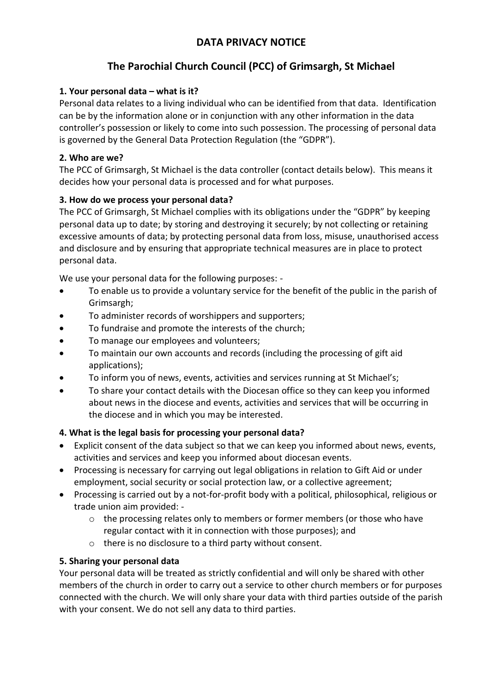# **DATA PRIVACY NOTICE**

# **The Parochial Church Council (PCC) of Grimsargh, St Michael**

# **1. Your personal data – what is it?**

Personal data relates to a living individual who can be identified from that data. Identification can be by the information alone or in conjunction with any other information in the data controller's possession or likely to come into such possession. The processing of personal data is governed by the General Data Protection Regulation (the "GDPR").

# **2. Who are we?**

The PCC of Grimsargh, St Michael is the data controller (contact details below). This means it decides how your personal data is processed and for what purposes.

# **3. How do we process your personal data?**

The PCC of Grimsargh, St Michael complies with its obligations under the "GDPR" by keeping personal data up to date; by storing and destroying it securely; by not collecting or retaining excessive amounts of data; by protecting personal data from loss, misuse, unauthorised access and disclosure and by ensuring that appropriate technical measures are in place to protect personal data.

We use your personal data for the following purposes: -

- To enable us to provide a voluntary service for the benefit of the public in the parish of Grimsargh;
- To administer records of worshippers and supporters;
- To fundraise and promote the interests of the church;
- To manage our employees and volunteers;
- To maintain our own accounts and records (including the processing of gift aid applications);
- To inform you of news, events, activities and services running at St Michael's;
- To share your contact details with the Diocesan office so they can keep you informed about news in the diocese and events, activities and services that will be occurring in the diocese and in which you may be interested.

# **4. What is the legal basis for processing your personal data?**

- Explicit consent of the data subject so that we can keep you informed about news, events, activities and services and keep you informed about diocesan events.
- Processing is necessary for carrying out legal obligations in relation to Gift Aid or under employment, social security or social protection law, or a collective agreement;
- Processing is carried out by a not-for-profit body with a political, philosophical, religious or trade union aim provided:
	- o the processing relates only to members or former members (or those who have regular contact with it in connection with those purposes); and
	- o there is no disclosure to a third party without consent.

#### **5. Sharing your personal data**

Your personal data will be treated as strictly confidential and will only be shared with other members of the church in order to carry out a service to other church members or for purposes connected with the church. We will only share your data with third parties outside of the parish with your consent. We do not sell any data to third parties.